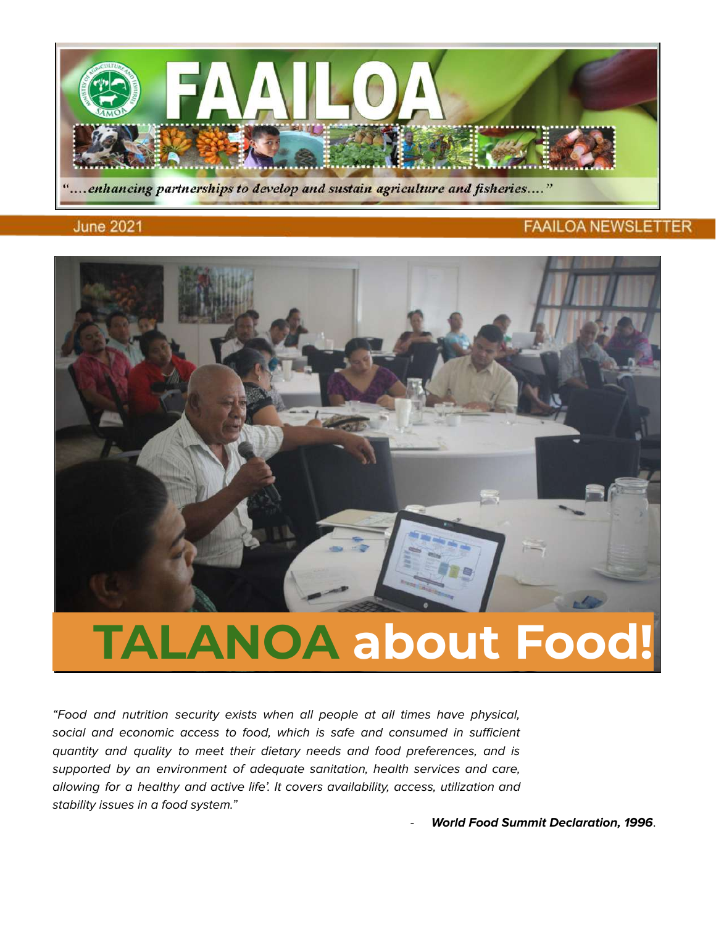

#### **June 2021**

#### **FAAILOA NEWSLETTER**



# **TALANOA about Food!**

"Food and nutrition security exists when all people at all times have physical, social and economic access to food, which is safe and consumed in sufficient quantity and quality to meet their dietary needs and food preferences, and is supported by an environment of adequate sanitation, health services and care, allowing for a healthy and active life'. It covers availability, access, utilization and stability issues in a food system."

- **World Food Summit Declaration, 1996**.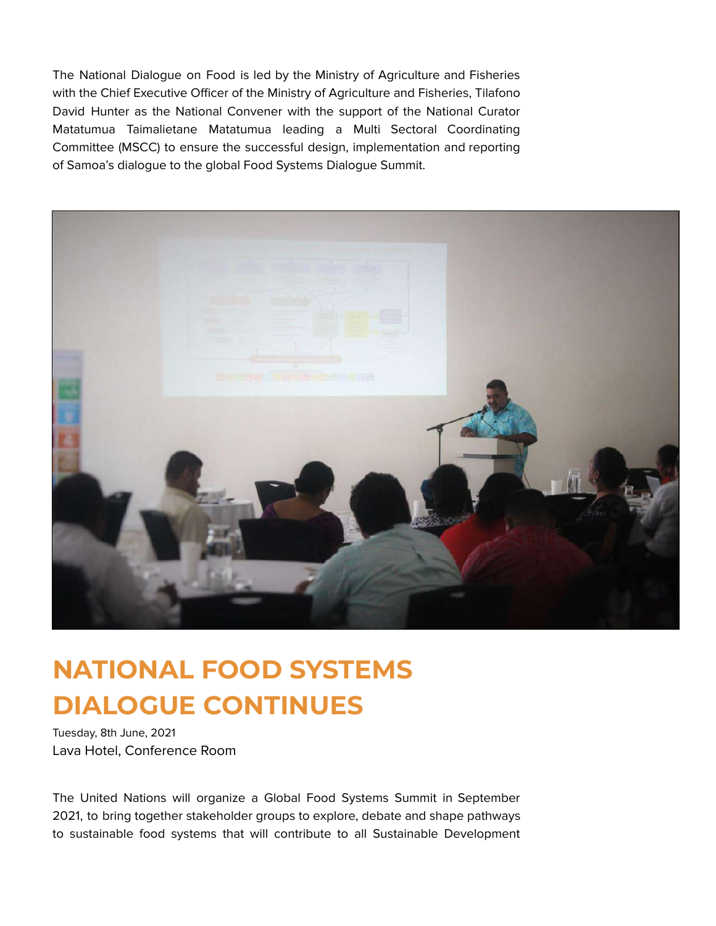The National Dialogue on Food is led by the Ministry of Agriculture and Fisheries with the Chief Executive Officer of the Ministry of Agriculture and Fisheries, Tilafono David Hunter as the National Convener with the support of the National Curator Matatumua Taimalietane Matatumua leading a Multi Sectoral Coordinating Committee (MSCC) to ensure the successful design, implementation and reporting of Samoa's dialogue to the global Food Systems Dialogue Summit.



## **NATIONAL FOOD SYSTEMS DIALOGUE CONTINUES**

Tuesday, 8th June, 2021 Lava Hotel, Conference Room

The United Nations will organize a Global Food Systems Summit in September 2021, to bring together stakeholder groups to explore, debate and shape pathways to sustainable food systems that will contribute to all Sustainable Development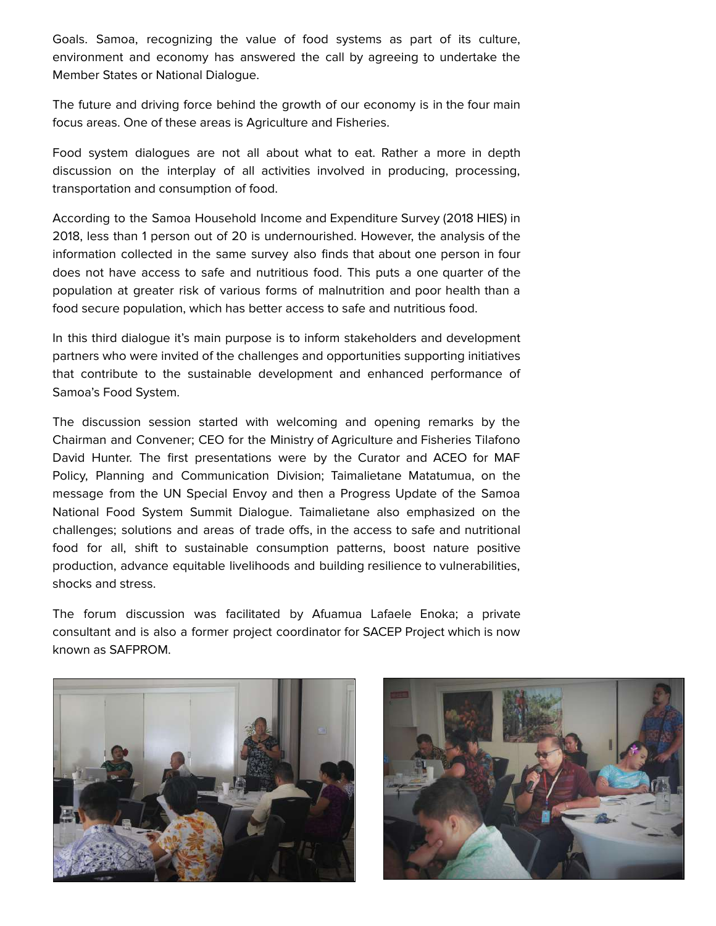Goals. Samoa, recognizing the value of food systems as part of its culture, environment and economy has answered the call by agreeing to undertake the Member States or National Dialogue.

The future and driving force behind the growth of our economy is in the four main focus areas. One of these areas is Agriculture and Fisheries.

Food system dialogues are not all about what to eat. Rather a more in depth discussion on the interplay of all activities involved in producing, processing, transportation and consumption of food.

According to the Samoa Household Income and Expenditure Survey (2018 HIES) in 2018, less than 1 person out of 20 is undernourished. However, the analysis of the information collected in the same survey also finds that about one person in four does not have access to safe and nutritious food. This puts a one quarter of the population at greater risk of various forms of malnutrition and poor health than a food secure population, which has better access to safe and nutritious food.

In this third dialogue it's main purpose is to inform stakeholders and development partners who were invited of the challenges and opportunities supporting initiatives that contribute to the sustainable development and enhanced performance of Samoa's Food System.

The discussion session started with welcoming and opening remarks by the Chairman and Convener; CEO for the Ministry of Agriculture and Fisheries Tilafono David Hunter. The first presentations were by the Curator and ACEO for MAF Policy, Planning and Communication Division; Taimalietane Matatumua, on the message from the UN Special Envoy and then a Progress Update of the Samoa National Food System Summit Dialogue. Taimalietane also emphasized on the challenges; solutions and areas of trade offs, in the access to safe and nutritional food for all, shift to sustainable consumption patterns, boost nature positive production, advance equitable livelihoods and building resilience to vulnerabilities, shocks and stress.

The forum discussion was facilitated by Afuamua Lafaele Enoka; a private consultant and is also a former project coordinator for SACEP Project which is now known as SAFPROM.



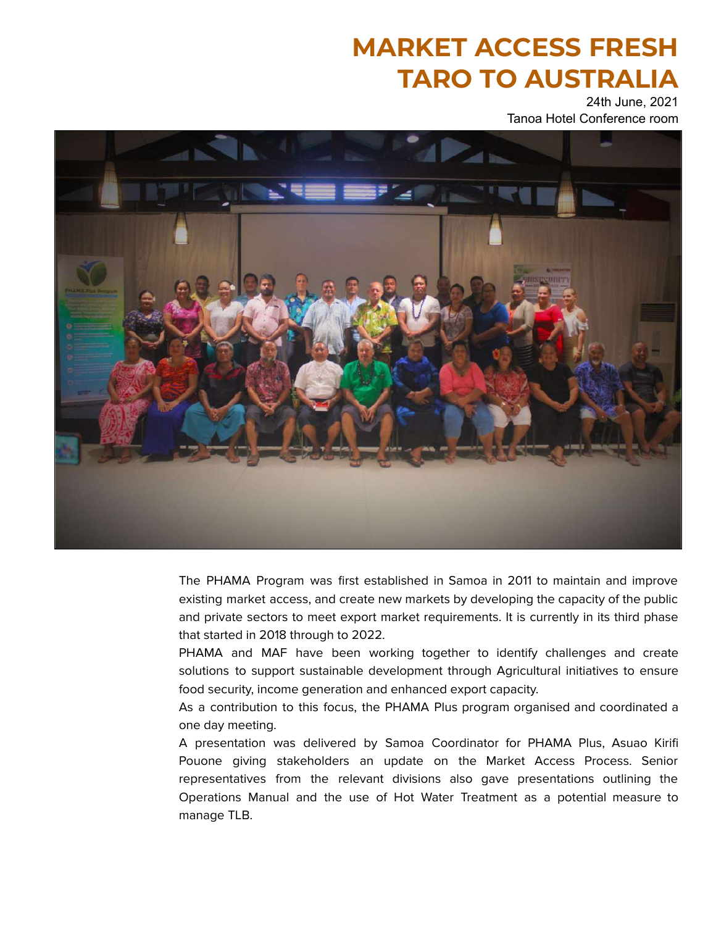## **MARKET ACCESS FRESH TARO TO AUSTRALIA**

24th June, 2021 Tanoa Hotel Conference room



The PHAMA Program was first established in Samoa in 2011 to maintain and improve existing market access, and create new markets by developing the capacity of the public and private sectors to meet export market requirements. It is currently in its third phase that started in 2018 through to 2022.

PHAMA and MAF have been working together to identify challenges and create solutions to support sustainable development through Agricultural initiatives to ensure food security, income generation and enhanced export capacity.

As a contribution to this focus, the PHAMA Plus program organised and coordinated a one day meeting.

A presentation was delivered by Samoa Coordinator for PHAMA Plus, Asuao Kirifi Pouone giving stakeholders an update on the Market Access Process. Senior representatives from the relevant divisions also gave presentations outlining the Operations Manual and the use of Hot Water Treatment as a potential measure to manage TLB.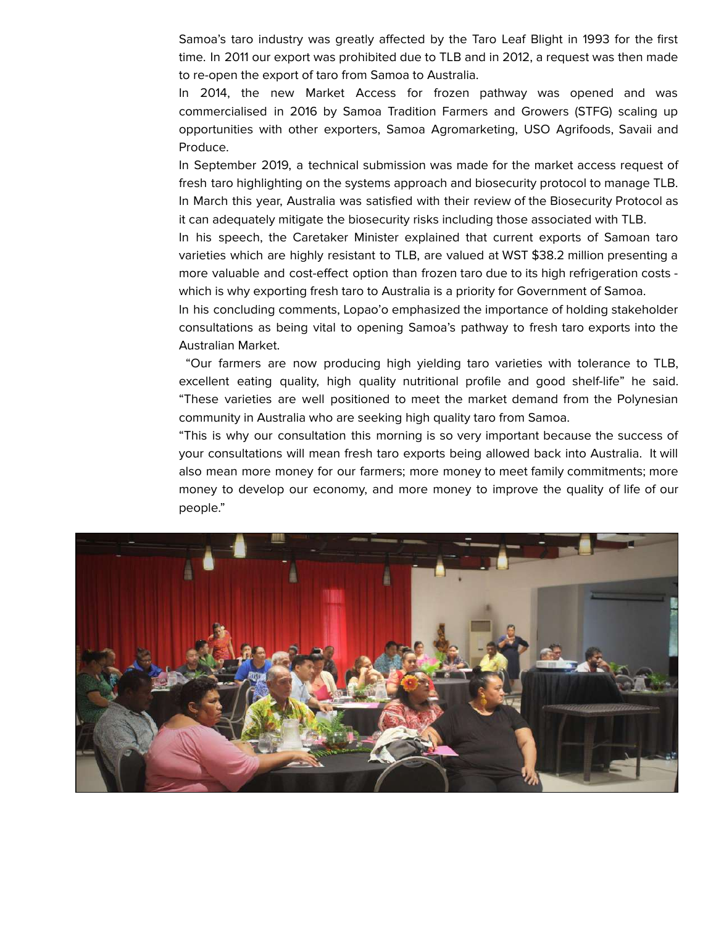Samoa's taro industry was greatly affected by the Taro Leaf Blight in 1993 for the first time. In 2011 our export was prohibited due to TLB and in 2012, a request was then made to re-open the export of taro from Samoa to Australia.

In 2014, the new Market Access for frozen pathway was opened and was commercialised in 2016 by Samoa Tradition Farmers and Growers (STFG) scaling up opportunities with other exporters, Samoa Agromarketing, USO Agrifoods, Savaii and Produce.

In September 2019, a technical submission was made for the market access request of fresh taro highlighting on the systems approach and biosecurity protocol to manage TLB. In March this year, Australia was satisfied with their review of the Biosecurity Protocol as it can adequately mitigate the biosecurity risks including those associated with TLB.

In his speech, the Caretaker Minister explained that current exports of Samoan taro varieties which are highly resistant to TLB, are valued at WST \$38.2 million presenting a more valuable and cost-effect option than frozen taro due to its high refrigeration costs which is why exporting fresh taro to Australia is a priority for Government of Samoa.

In his concluding comments, Lopao'o emphasized the importance of holding stakeholder consultations as being vital to opening Samoa's pathway to fresh taro exports into the Australian Market.

"Our farmers are now producing high yielding taro varieties with tolerance to TLB, excellent eating quality, high quality nutritional profile and good shelf-life" he said. "These varieties are well positioned to meet the market demand from the Polynesian community in Australia who are seeking high quality taro from Samoa.

"This is why our consultation this morning is so very important because the success of your consultations will mean fresh taro exports being allowed back into Australia. It will also mean more money for our farmers; more money to meet family commitments; more money to develop our economy, and more money to improve the quality of life of our people."

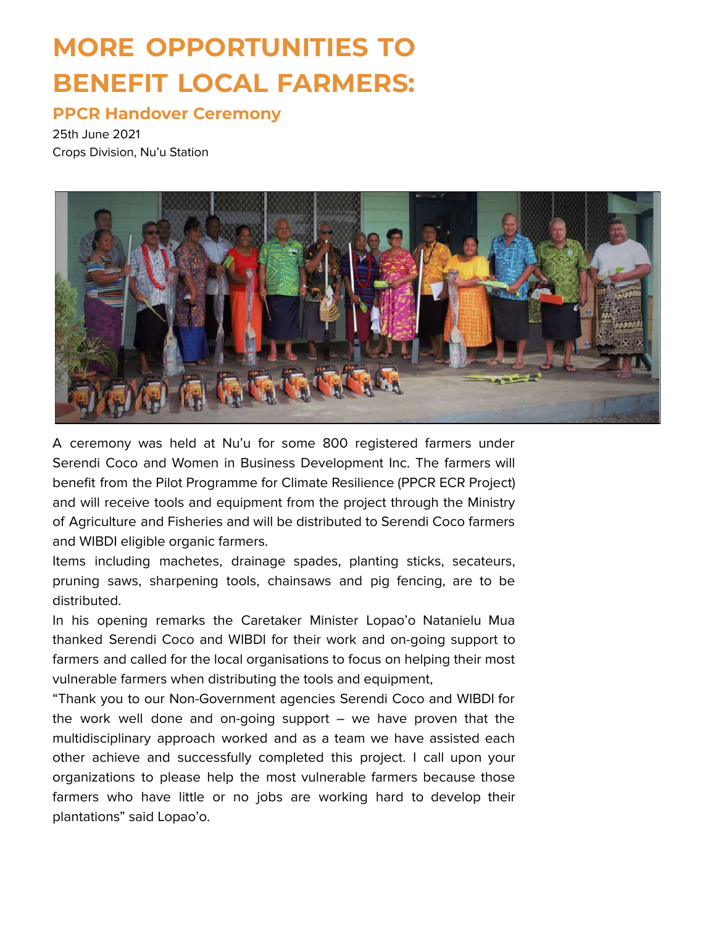## **MORE OPPORTUNITIES TO BENEFIT LOCAL FARMERS:**

### **PPCR Handover Ceremony**

25th June 2021 Crops Division, Nu'u Station



A ceremony was held at Nu'u for some 800 registered farmers under Serendi Coco and Women in Business Development Inc. The farmers will benefit from the Pilot Programme for Climate Resilience (PPCR ECR Project) and will receive tools and equipment from the project through the Ministry of Agriculture and Fisheries and will be distributed to Serendi Coco farmers and WIBDI eligible organic farmers.

Items including machetes, drainage spades, planting sticks, secateurs, pruning saws, sharpening tools, chainsaws and pig fencing, are to be distributed.

In his opening remarks the Caretaker Minister Lopao'o Natanielu Mua thanked Serendi Coco and WIBDI for their work and on-going support to farmers and called for the local organisations to focus on helping their most vulnerable farmers when distributing the tools and equipment,

"Thank you to our Non-Government agencies Serendi Coco and WIBDI for the work well done and on-going support – we have proven that the multidisciplinary approach worked and as a team we have assisted each other achieve and successfully completed this project. I call upon your organizations to please help the most vulnerable farmers because those farmers who have little or no jobs are working hard to develop their plantations" said Lopao'o.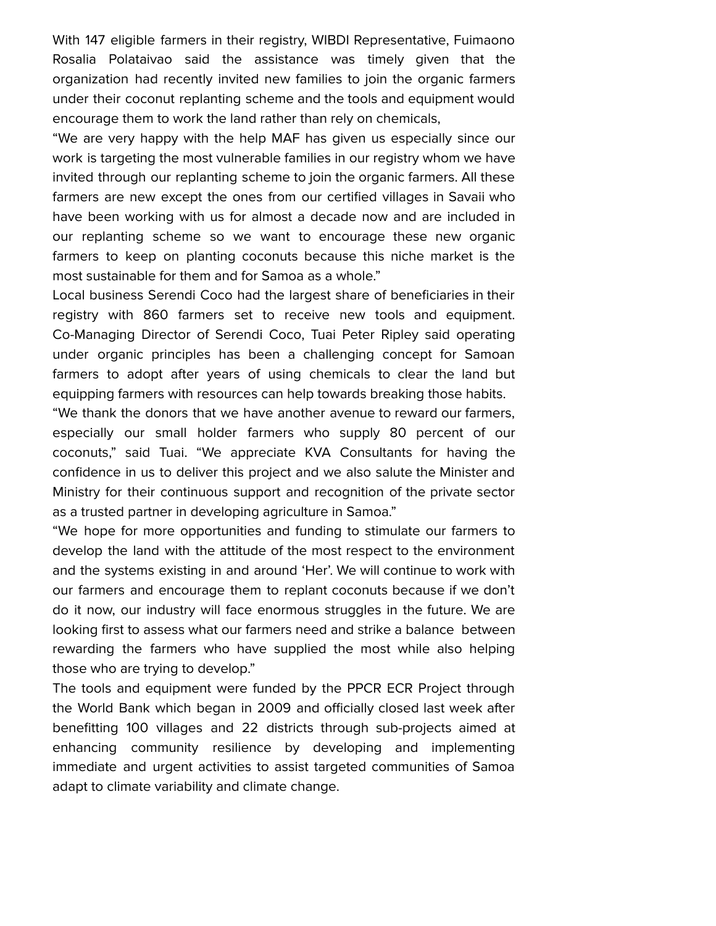With 147 eligible farmers in their registry, WIBDI Representative, Fuimaono Rosalia Polataivao said the assistance was timely given that the organization had recently invited new families to join the organic farmers under their coconut replanting scheme and the tools and equipment would encourage them to work the land rather than rely on chemicals,

"We are very happy with the help MAF has given us especially since our work is targeting the most vulnerable families in our registry whom we have invited through our replanting scheme to join the organic farmers. All these farmers are new except the ones from our certified villages in Savaii who have been working with us for almost a decade now and are included in our replanting scheme so we want to encourage these new organic farmers to keep on planting coconuts because this niche market is the most sustainable for them and for Samoa as a whole."

Local business Serendi Coco had the largest share of beneficiaries in their registry with 860 farmers set to receive new tools and equipment. Co-Managing Director of Serendi Coco, Tuai Peter Ripley said operating under organic principles has been a challenging concept for Samoan farmers to adopt after years of using chemicals to clear the land but equipping farmers with resources can help towards breaking those habits.

"We thank the donors that we have another avenue to reward our farmers, especially our small holder farmers who supply 80 percent of our coconuts," said Tuai. "We appreciate KVA Consultants for having the confidence in us to deliver this project and we also salute the Minister and Ministry for their continuous support and recognition of the private sector as a trusted partner in developing agriculture in Samoa."

"We hope for more opportunities and funding to stimulate our farmers to develop the land with the attitude of the most respect to the environment and the systems existing in and around 'Her'. We will continue to work with our farmers and encourage them to replant coconuts because if we don't do it now, our industry will face enormous struggles in the future. We are looking first to assess what our farmers need and strike a balance between rewarding the farmers who have supplied the most while also helping those who are trying to develop."

The tools and equipment were funded by the PPCR ECR Project through the World Bank which began in 2009 and officially closed last week after benefitting 100 villages and 22 districts through sub-projects aimed at enhancing community resilience by developing and implementing immediate and urgent activities to assist targeted communities of Samoa adapt to climate variability and climate change.